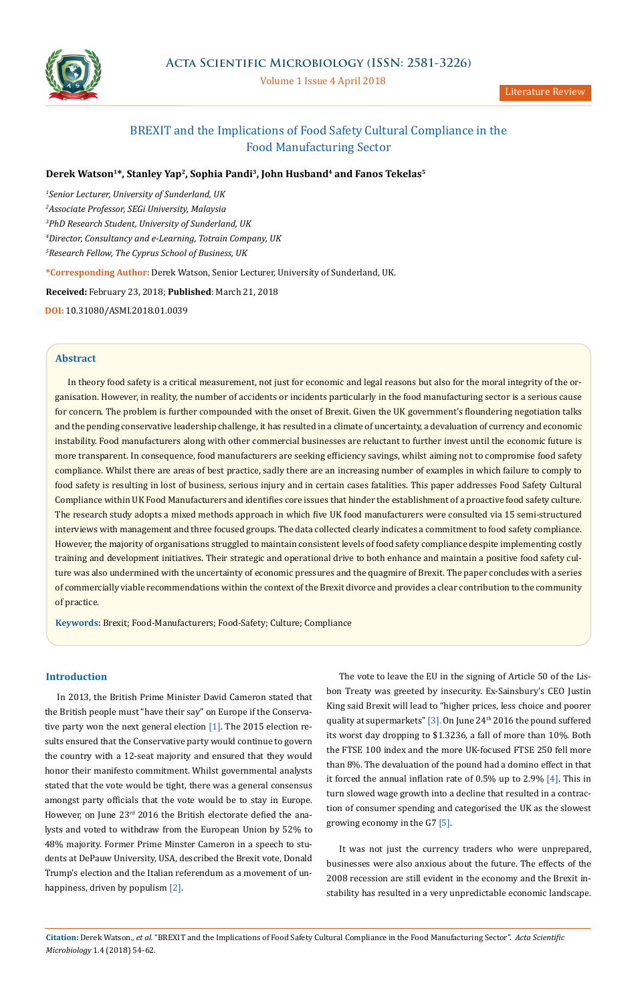

## Volume 1 Issue 4 April 2018

# BREXIT and the Implications of Food Safety Cultural Compliance in the Food Manufacturing Sector

# **Derek Watson1\*, Stanley Yap2, Sophia Pandi3, John Husband4 and Fanos Tekelas5**

 *Senior Lecturer, University of Sunderland, UK Associate Professor, SEGi University, Malaysia PhD Research Student, University of Sunderland, UK Director, Consultancy and e-Learning, Totrain Company, UK Research Fellow, The Cyprus School of Business, UK*

**\*Corresponding Author:** Derek Watson, Senior Lecturer, University of Sunderland, UK.

**Received:** February 23, 2018; **Published**: March 21, 2018

**DOI:** 10.31080/ASMI.2018.01.0039

## **Abstract**

In theory food safety is a critical measurement, not just for economic and legal reasons but also for the moral integrity of the organisation. However, in reality, the number of accidents or incidents particularly in the food manufacturing sector is a serious cause for concern. The problem is further compounded with the onset of Brexit. Given the UK government's floundering negotiation talks and the pending conservative leadership challenge, it has resulted in a climate of uncertainty, a devaluation of currency and economic instability. Food manufacturers along with other commercial businesses are reluctant to further invest until the economic future is more transparent. In consequence, food manufacturers are seeking efficiency savings, whilst aiming not to compromise food safety compliance. Whilst there are areas of best practice, sadly there are an increasing number of examples in which failure to comply to food safety is resulting in lost of business, serious injury and in certain cases fatalities. This paper addresses Food Safety Cultural Compliance within UK Food Manufacturers and identifies core issues that hinder the establishment of a proactive food safety culture. The research study adopts a mixed methods approach in which five UK food manufacturers were consulted via 15 semi-structured interviews with management and three focused groups. The data collected clearly indicates a commitment to food safety compliance. However, the majority of organisations struggled to maintain consistent levels of food safety compliance despite implementing costly training and development initiatives. Their strategic and operational drive to both enhance and maintain a positive food safety culture was also undermined with the uncertainty of economic pressures and the quagmire of Brexit. The paper concludes with a series of commercially viable recommendations within the context of the Brexit divorce and provides a clear contribution to the community of practice.

**Keywords:** Brexit; Food-Manufacturers; Food-Safety; Culture; Compliance

# **Introduction**

In 2013, the British Prime Minister David Cameron stated that the British people must "have their say" on Europe if the Conservative party won the next general election [1]. The 2015 election results ensured that the Conservative party would continue to govern the country with a 12-seat majority and ensured that they would honor their manifesto commitment. Whilst governmental analysts stated that the vote would be tight, there was a general consensus amongst party officials that the vote would be to stay in Europe. However, on June  $23<sup>rd</sup>$  2016 the British electorate defied the analysts and voted to withdraw from the European Union by 52% to 48% majority. Former Prime Minster Cameron in a speech to students at DePauw University, USA, described the Brexit vote, Donald Trump's election and the Italian referendum as a movement of unhappiness, driven by populism [2].

The vote to leave the EU in the signing of Article 50 of the Lisbon Treaty was greeted by insecurity. Ex-Sainsbury's CEO Justin King said Brexit will lead to "higher prices, less choice and poorer quality at supermarkets" [3]. On June 24<sup>th</sup> 2016 the pound suffered its worst day dropping to \$1.3236, a fall of more than 10%. Both the FTSE 100 index and the more UK-focused FTSE 250 fell more than 8%. The devaluation of the pound had a domino effect in that it forced the annual inflation rate of 0.5% up to 2.9% [4]. This in turn slowed wage growth into a decline that resulted in a contraction of consumer spending and categorised the UK as the slowest growing economy in the G7 [5].

It was not just the currency traders who were unprepared, businesses were also anxious about the future. The effects of the 2008 recession are still evident in the economy and the Brexit instability has resulted in a very unpredictable economic landscape.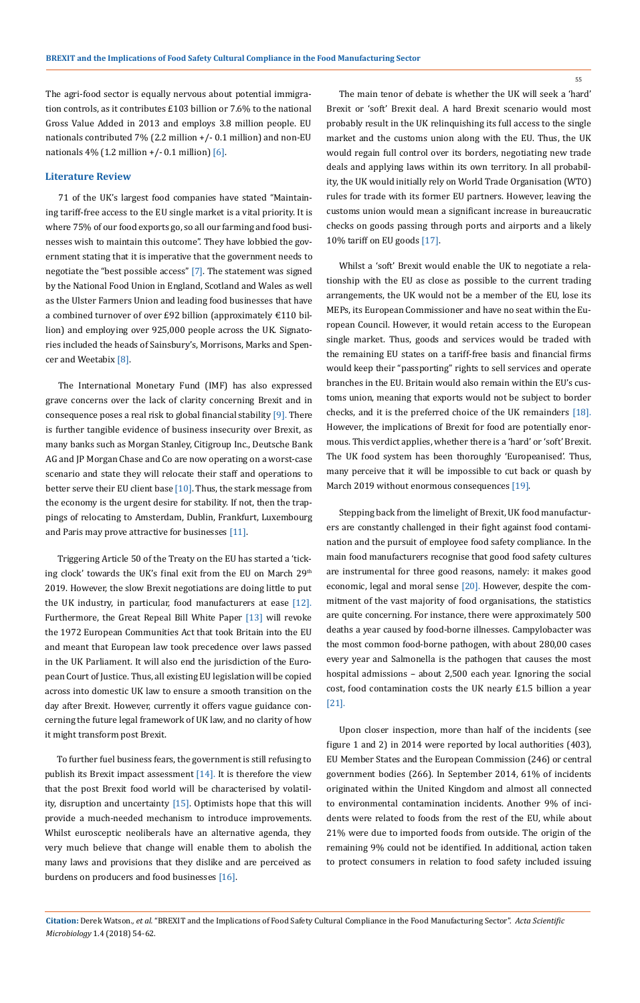55

The agri-food sector is equally nervous about potential immigration controls, as it contributes £103 billion or 7.6% to the national Gross Value Added in 2013 and employs 3.8 million people. EU nationals contributed 7% (2.2 million +/- 0.1 million) and non-EU nationals 4% (1.2 million  $+/- 0.1$  million) [6].

### **Literature Review**

71 of the UK's largest food companies have stated "Maintaining tariff-free access to the EU single market is a vital priority. It is where 75% of our food exports go, so all our farming and food businesses wish to maintain this outcome". They have lobbied the government stating that it is imperative that the government needs to negotiate the "best possible access" [7]. The statement was signed by the National Food Union in England, Scotland and Wales as well as the Ulster Farmers Union and leading food businesses that have a combined turnover of over £92 billion (approximately €110 billion) and employing over 925,000 people across the UK. Signatories included the heads of Sainsbury's, Morrisons, Marks and Spencer and Weetabix [8].

The International Monetary Fund (IMF) has also expressed grave concerns over the lack of clarity concerning Brexit and in consequence poses a real risk to global financial stability [9]. There is further tangible evidence of business insecurity over Brexit, as many banks such as Morgan Stanley, Citigroup Inc., Deutsche Bank AG and JP Morgan Chase and Co are now operating on a worst-case scenario and state they will relocate their staff and operations to better serve their EU client base  $[10]$ . Thus, the stark message from the economy is the urgent desire for stability. If not, then the trappings of relocating to Amsterdam, Dublin, Frankfurt, Luxembourg and Paris may prove attractive for businesses [11].

Triggering Article 50 of the Treaty on the EU has started a 'ticking clock' towards the UK's final exit from the EU on March 29<sup>th</sup> 2019. However, the slow Brexit negotiations are doing little to put the UK industry, in particular, food manufacturers at ease [12]. Furthermore, the Great Repeal Bill White Paper [13] will revoke the 1972 European Communities Act that took Britain into the EU and meant that European law took precedence over laws passed in the UK Parliament. It will also end the jurisdiction of the European Court of Justice. Thus, all existing EU legislation will be copied across into domestic UK law to ensure a smooth transition on the day after Brexit. However, currently it offers vague guidance concerning the future legal framework of UK law, and no clarity of how it might transform post Brexit.

To further fuel business fears, the government is still refusing to publish its Brexit impact assessment [14]. It is therefore the view that the post Brexit food world will be characterised by volatility, disruption and uncertainty [15]. Optimists hope that this will provide a much-needed mechanism to introduce improvements. Whilst eurosceptic neoliberals have an alternative agenda, they very much believe that change will enable them to abolish the many laws and provisions that they dislike and are perceived as burdens on producers and food businesses [16].

The main tenor of debate is whether the UK will seek a 'hard' Brexit or 'soft' Brexit deal. A hard Brexit scenario would most probably result in the UK relinquishing its full access to the single market and the customs union along with the EU. Thus, the UK would regain full control over its borders, negotiating new trade deals and applying laws within its own territory. In all probability, the UK would initially rely on World Trade Organisation (WTO) rules for trade with its former EU partners. However, leaving the customs union would mean a significant increase in bureaucratic checks on goods passing through ports and airports and a likely 10% tariff on EU goods [17].

Whilst a 'soft' Brexit would enable the UK to negotiate a relationship with the EU as close as possible to the current trading arrangements, the UK would not be a member of the EU, lose its MEPs, its European Commissioner and have no seat within the European Council. However, it would retain access to the European single market. Thus, goods and services would be traded with the remaining EU states on a tariff-free basis and financial firms would keep their "passporting" rights to sell services and operate branches in the EU. Britain would also remain within the EU's customs union, meaning that exports would not be subject to border checks, and it is the preferred choice of the UK remainders [18]. However, the implications of Brexit for food are potentially enormous. This verdict applies, whether there is a 'hard' or 'soft' Brexit. The UK food system has been thoroughly 'Europeanised'. Thus, many perceive that it will be impossible to cut back or quash by March 2019 without enormous consequences [19].

Stepping back from the limelight of Brexit, UK food manufacturers are constantly challenged in their fight against food contamination and the pursuit of employee food safety compliance. In the main food manufacturers recognise that good food safety cultures are instrumental for three good reasons, namely: it makes good economic, legal and moral sense [20]. However, despite the commitment of the vast majority of food organisations, the statistics are quite concerning. For instance, there were approximately 500 deaths a year caused by food-borne illnesses. Campylobacter was the most common food-borne pathogen, with about 280,00 cases every year and Salmonella is the pathogen that causes the most hospital admissions – about 2,500 each year. Ignoring the social cost, food contamination costs the UK nearly £1.5 billion a year [21].

Upon closer inspection, more than half of the incidents (see figure 1 and 2) in 2014 were reported by local authorities (403), EU Member States and the European Commission (246) or central government bodies (266). In September 2014, 61% of incidents originated within the United Kingdom and almost all connected to environmental contamination incidents. Another 9% of incidents were related to foods from the rest of the EU, while about 21% were due to imported foods from outside. The origin of the remaining 9% could not be identified. In additional, action taken to protect consumers in relation to food safety included issuing

**Citation:** Derek Watson*., et al.* "BREXIT and the Implications of Food Safety Cultural Compliance in the Food Manufacturing Sector". *Acta Scientific Microbiology* 1.4 (2018) 54-62.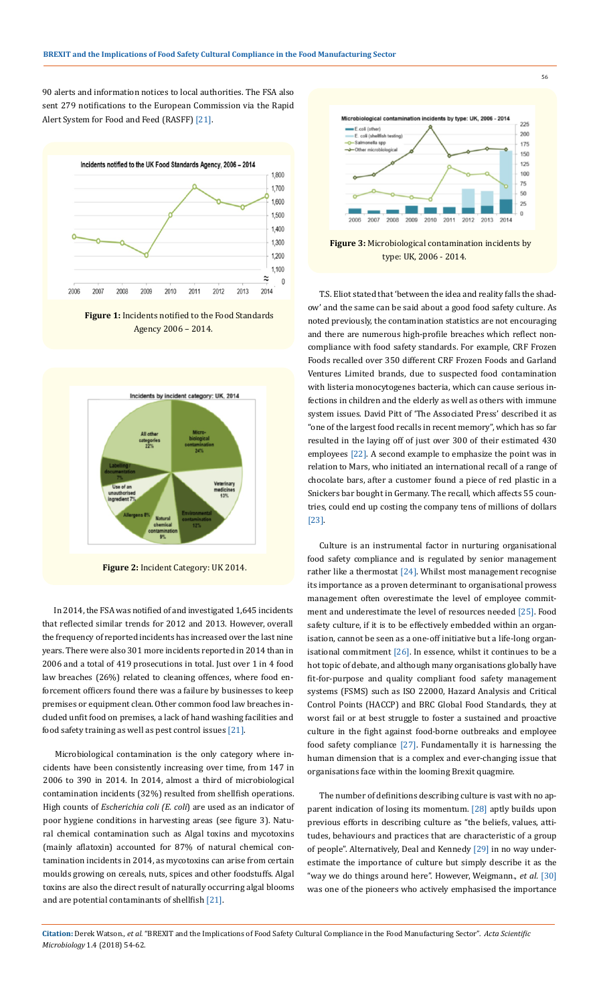90 alerts and information notices to local authorities. The FSA also sent 279 notifications to the European Commission via the Rapid Alert System for Food and Feed (RASFF) [21].



**Figure 1:** Incidents notified to the Food Standards Agency 2006 – 2014.



**Figure 2:** Incident Category: UK 2014.

In 2014, the FSA was notified of and investigated 1,645 incidents that reflected similar trends for 2012 and 2013. However, overall the frequency of reported incidents has increased over the last nine years. There were also 301 more incidents reported in 2014 than in 2006 and a total of 419 prosecutions in total. Just over 1 in 4 food law breaches (26%) related to cleaning offences, where food enforcement officers found there was a failure by businesses to keep premises or equipment clean. Other common food law breaches included unfit food on premises, a lack of hand washing facilities and food safety training as well as pest control issues [21].

Microbiological contamination is the only category where incidents have been consistently increasing over time, from 147 in 2006 to 390 in 2014. In 2014, almost a third of microbiological contamination incidents (32%) resulted from shellfish operations. High counts of *Escherichia coli (E. coli*) are used as an indicator of poor hygiene conditions in harvesting areas (see figure 3). Natural chemical contamination such as Algal toxins and mycotoxins (mainly aflatoxin) accounted for 87% of natural chemical contamination incidents in 2014, as mycotoxins can arise from certain moulds growing on cereals, nuts, spices and other foodstuffs. Algal toxins are also the direct result of naturally occurring algal blooms and are potential contaminants of shellfish [21].



**Figure 3:** Microbiological contamination incidents by type: UK, 2006 - 2014.

T.S. Eliot stated that 'between the idea and reality falls the shadow' and the same can be said about a good food safety culture. As noted previously, the contamination statistics are not encouraging and there are numerous high-profile breaches which reflect noncompliance with food safety standards. For example, CRF Frozen Foods recalled over 350 different CRF Frozen Foods and Garland Ventures Limited brands, due to suspected food contamination with listeria monocytogenes bacteria, which can cause serious infections in children and the elderly as well as others with immune system issues. David Pitt of 'The Associated Press' described it as "one of the largest food recalls in recent memory", which has so far resulted in the laying off of just over 300 of their estimated 430 employees [22]. A second example to emphasize the point was in relation to Mars, who initiated an international recall of a range of chocolate bars, after a customer found a piece of red plastic in a Snickers bar bought in Germany. The recall, which affects 55 countries, could end up costing the company tens of millions of dollars [23].

Culture is an instrumental factor in nurturing organisational food safety compliance and is regulated by senior management rather like a thermostat [24]. Whilst most management recognise its importance as a proven determinant to organisational prowess management often overestimate the level of employee commitment and underestimate the level of resources needed [25]. Food safety culture, if it is to be effectively embedded within an organisation, cannot be seen as a one-off initiative but a life-long organisational commitment [26]. In essence, whilst it continues to be a hot topic of debate, and although many organisations globally have fit-for-purpose and quality compliant food safety management systems (FSMS) such as ISO 22000, Hazard Analysis and Critical Control Points (HACCP) and BRC Global Food Standards, they at worst fail or at best struggle to foster a sustained and proactive culture in the fight against food-borne outbreaks and employee food safety compliance [27]. Fundamentally it is harnessing the human dimension that is a complex and ever-changing issue that organisations face within the looming Brexit quagmire.

The number of definitions describing culture is vast with no apparent indication of losing its momentum. [28] aptly builds upon previous efforts in describing culture as "the beliefs, values, attitudes, behaviours and practices that are characteristic of a group of people". Alternatively, Deal and Kennedy [29] in no way underestimate the importance of culture but simply describe it as the "way we do things around here". However, Weigmann., *et al.* [30] was one of the pioneers who actively emphasised the importance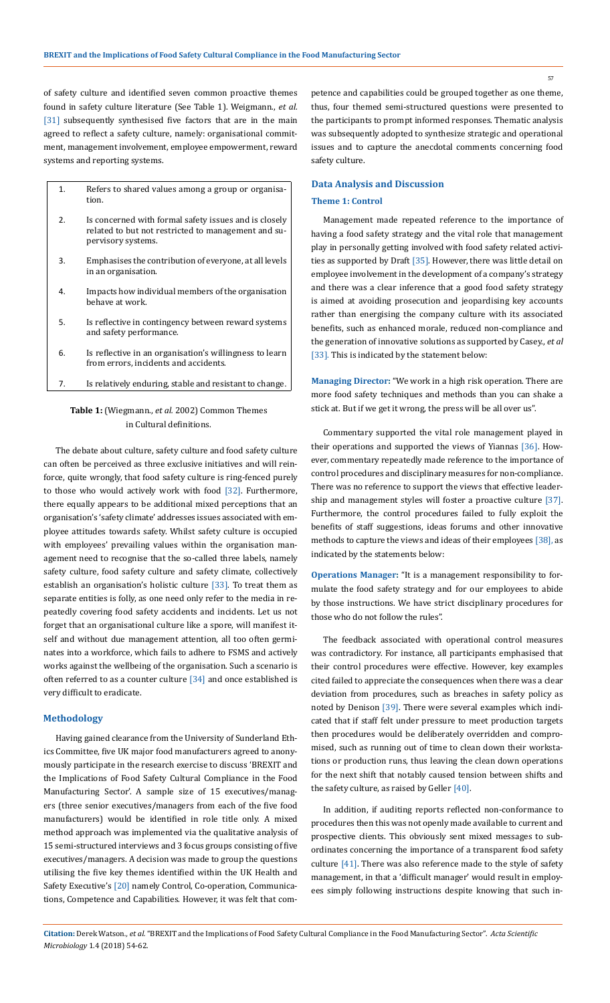of safety culture and identified seven common proactive themes found in safety culture literature (See Table 1). Weigmann., *et al.*  [31] subsequently synthesised five factors that are in the main agreed to reflect a safety culture, namely: organisational commitment, management involvement, employee empowerment, reward systems and reporting systems.

- 1. Refers to shared values among a group or organisation.
- 2. Is concerned with formal safety issues and is closely related to but not restricted to management and supervisory systems.
- 3. Emphasises the contribution of everyone, at all levels in an organisation.
- 4. Impacts how individual members of the organisation behave at work.
- 5. Is reflective in contingency between reward systems and safety performance.
- 6. Is reflective in an organisation's willingness to learn from errors, incidents and accidents.
- 7. Is relatively enduring, stable and resistant to change.

# **Table 1:** (Wiegmann., *et al.* 2002) Common Themes in Cultural definitions.

The debate about culture, safety culture and food safety culture can often be perceived as three exclusive initiatives and will reinforce, quite wrongly, that food safety culture is ring-fenced purely to those who would actively work with food [32]. Furthermore, there equally appears to be additional mixed perceptions that an organisation's 'safety climate' addresses issues associated with employee attitudes towards safety. Whilst safety culture is occupied with employees' prevailing values within the organisation management need to recognise that the so-called three labels, namely safety culture, food safety culture and safety climate, collectively establish an organisation's holistic culture [33]. To treat them as separate entities is folly, as one need only refer to the media in repeatedly covering food safety accidents and incidents. Let us not forget that an organisational culture like a spore, will manifest itself and without due management attention, all too often germinates into a workforce, which fails to adhere to FSMS and actively works against the wellbeing of the organisation. Such a scenario is often referred to as a counter culture [34] and once established is very difficult to eradicate.

## **Methodology**

Having gained clearance from the University of Sunderland Ethics Committee, five UK major food manufacturers agreed to anonymously participate in the research exercise to discuss 'BREXIT and the Implications of Food Safety Cultural Compliance in the Food Manufacturing Sector'. A sample size of 15 executives/managers (three senior executives/managers from each of the five food manufacturers) would be identified in role title only. A mixed method approach was implemented via the qualitative analysis of 15 semi-structured interviews and 3 focus groups consisting of five executives/managers. A decision was made to group the questions utilising the five key themes identified within the UK Health and Safety Executive's [20] namely Control, Co-operation, Communications, Competence and Capabilities. However, it was felt that com-

petence and capabilities could be grouped together as one theme, thus, four themed semi-structured questions were presented to the participants to prompt informed responses. Thematic analysis was subsequently adopted to synthesize strategic and operational issues and to capture the anecdotal comments concerning food safety culture.

# **Data Analysis and Discussion**

### **Theme 1: Control**

Management made repeated reference to the importance of having a food safety strategy and the vital role that management play in personally getting involved with food safety related activities as supported by Draft [35]. However, there was little detail on employee involvement in the development of a company's strategy and there was a clear inference that a good food safety strategy is aimed at avoiding prosecution and jeopardising key accounts rather than energising the company culture with its associated benefits, such as enhanced morale, reduced non-compliance and the generation of innovative solutions as supported by Casey., *et al*  [33]. This is indicated by the statement below:

**Managing Director:** "We work in a high risk operation. There are more food safety techniques and methods than you can shake a stick at. But if we get it wrong, the press will be all over us".

Commentary supported the vital role management played in their operations and supported the views of Yiannas [36]. However, commentary repeatedly made reference to the importance of control procedures and disciplinary measures for non-compliance. There was no reference to support the views that effective leadership and management styles will foster a proactive culture [37]. Furthermore, the control procedures failed to fully exploit the benefits of staff suggestions, ideas forums and other innovative methods to capture the views and ideas of their employees [38], as indicated by the statements below:

**Operations Manager:** "It is a management responsibility to formulate the food safety strategy and for our employees to abide by those instructions. We have strict disciplinary procedures for those who do not follow the rules".

The feedback associated with operational control measures was contradictory. For instance, all participants emphasised that their control procedures were effective. However, key examples cited failed to appreciate the consequences when there was a clear deviation from procedures, such as breaches in safety policy as noted by Denison [39]. There were several examples which indicated that if staff felt under pressure to meet production targets then procedures would be deliberately overridden and compromised, such as running out of time to clean down their workstations or production runs, thus leaving the clean down operations for the next shift that notably caused tension between shifts and the safety culture, as raised by Geller [40].

In addition, if auditing reports reflected non-conformance to procedures then this was not openly made available to current and prospective clients. This obviously sent mixed messages to subordinates concerning the importance of a transparent food safety culture [41]. There was also reference made to the style of safety management, in that a 'difficult manager' would result in employees simply following instructions despite knowing that such in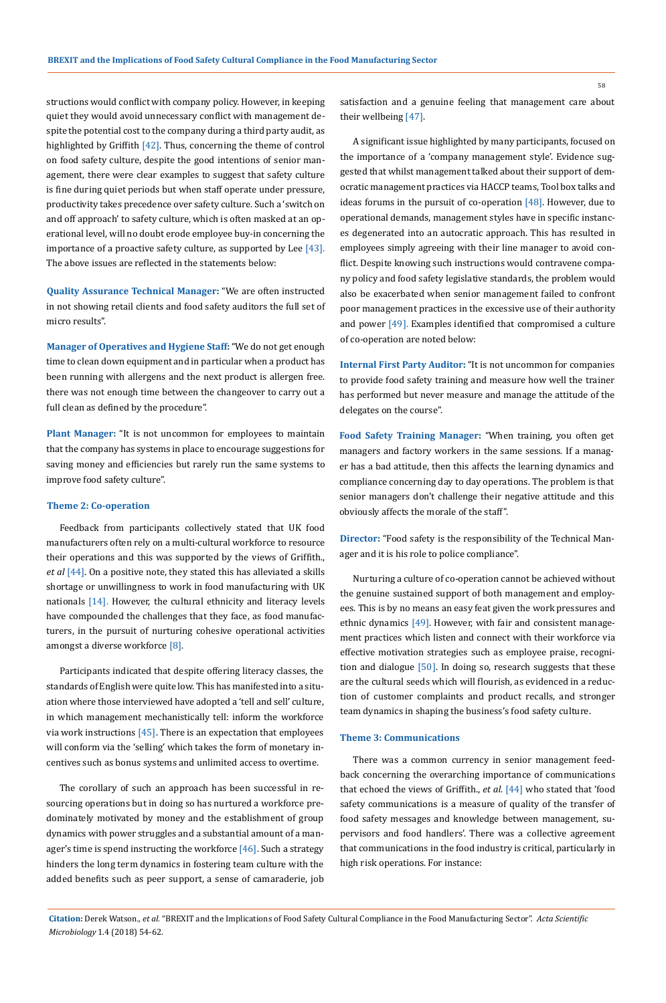structions would conflict with company policy. However, in keeping quiet they would avoid unnecessary conflict with management despite the potential cost to the company during a third party audit, as highlighted by Griffith [42]. Thus, concerning the theme of control on food safety culture, despite the good intentions of senior management, there were clear examples to suggest that safety culture is fine during quiet periods but when staff operate under pressure, productivity takes precedence over safety culture. Such a 'switch on and off approach' to safety culture, which is often masked at an operational level, will no doubt erode employee buy-in concerning the importance of a proactive safety culture, as supported by Lee [43]. The above issues are reflected in the statements below:

**Quality Assurance Technical Manager:** "We are often instructed in not showing retail clients and food safety auditors the full set of micro results".

**Manager of Operatives and Hygiene Staff:** "We do not get enough time to clean down equipment and in particular when a product has been running with allergens and the next product is allergen free. there was not enough time between the changeover to carry out a full clean as defined by the procedure".

**Plant Manager:** "It is not uncommon for employees to maintain that the company has systems in place to encourage suggestions for saving money and efficiencies but rarely run the same systems to improve food safety culture".

#### **Theme 2: Co-operation**

Feedback from participants collectively stated that UK food manufacturers often rely on a multi-cultural workforce to resource their operations and this was supported by the views of Griffith., et al [44]. On a positive note, they stated this has alleviated a skills shortage or unwillingness to work in food manufacturing with UK nationals [14]. However, the cultural ethnicity and literacy levels have compounded the challenges that they face, as food manufacturers, in the pursuit of nurturing cohesive operational activities amongst a diverse workforce [8].

Participants indicated that despite offering literacy classes, the standards of English were quite low. This has manifested into a situation where those interviewed have adopted a 'tell and sell' culture, in which management mechanistically tell: inform the workforce via work instructions  $[45]$ . There is an expectation that employees will conform via the 'selling' which takes the form of monetary incentives such as bonus systems and unlimited access to overtime.

The corollary of such an approach has been successful in resourcing operations but in doing so has nurtured a workforce predominately motivated by money and the establishment of group dynamics with power struggles and a substantial amount of a manager's time is spend instructing the workforce [46]. Such a strategy hinders the long term dynamics in fostering team culture with the added benefits such as peer support, a sense of camaraderie, job satisfaction and a genuine feeling that management care about their wellbeing [47].

A significant issue highlighted by many participants, focused on the importance of a 'company management style'. Evidence suggested that whilst management talked about their support of democratic management practices via HACCP teams, Tool box talks and ideas forums in the pursuit of co-operation [48]. However, due to operational demands, management styles have in specific instances degenerated into an autocratic approach. This has resulted in employees simply agreeing with their line manager to avoid conflict. Despite knowing such instructions would contravene company policy and food safety legislative standards, the problem would also be exacerbated when senior management failed to confront poor management practices in the excessive use of their authority and power [49]. Examples identified that compromised a culture of co-operation are noted below:

**Internal First Party Auditor:** "It is not uncommon for companies to provide food safety training and measure how well the trainer has performed but never measure and manage the attitude of the delegates on the course".

**Food Safety Training Manager:** "When training, you often get managers and factory workers in the same sessions. If a manager has a bad attitude, then this affects the learning dynamics and compliance concerning day to day operations. The problem is that senior managers don't challenge their negative attitude and this obviously affects the morale of the staff".

**Director:** "Food safety is the responsibility of the Technical Manager and it is his role to police compliance".

Nurturing a culture of co-operation cannot be achieved without the genuine sustained support of both management and employees. This is by no means an easy feat given the work pressures and ethnic dynamics [49]. However, with fair and consistent management practices which listen and connect with their workforce via effective motivation strategies such as employee praise, recognition and dialogue [50]. In doing so, research suggests that these are the cultural seeds which will flourish, as evidenced in a reduction of customer complaints and product recalls, and stronger team dynamics in shaping the business's food safety culture.

#### **Theme 3: Communications**

There was a common currency in senior management feedback concerning the overarching importance of communications that echoed the views of Griffith., *et al.* [44] who stated that 'food safety communications is a measure of quality of the transfer of food safety messages and knowledge between management, supervisors and food handlers'. There was a collective agreement that communications in the food industry is critical, particularly in high risk operations. For instance: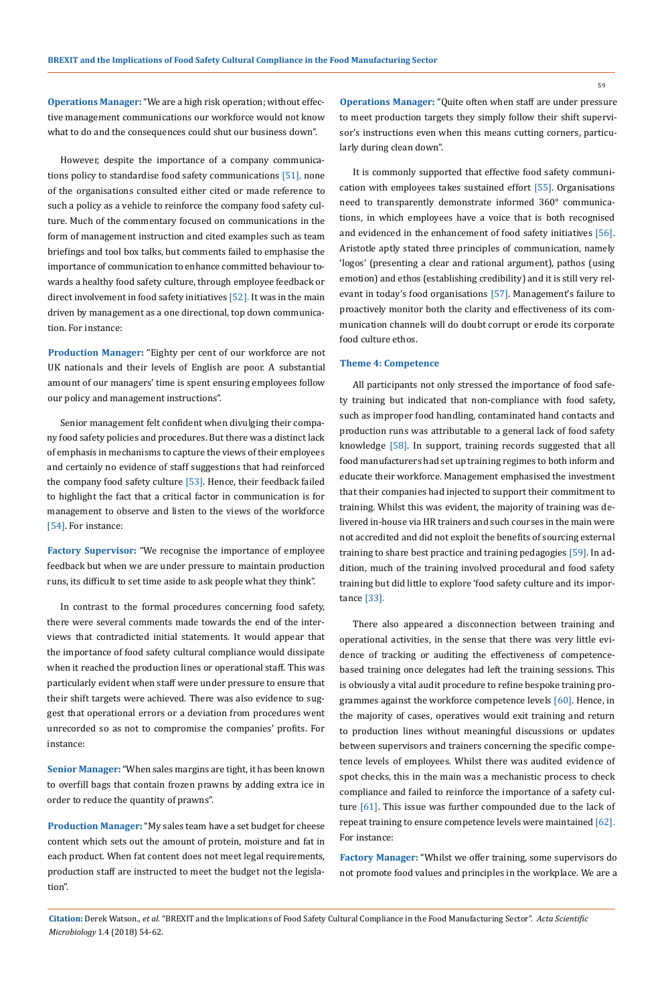**Operations Manager:** "We are a high risk operation; without effective management communications our workforce would not know what to do and the consequences could shut our business down".

However, despite the importance of a company communications policy to standardise food safety communications [51], none of the organisations consulted either cited or made reference to such a policy as a vehicle to reinforce the company food safety culture. Much of the commentary focused on communications in the form of management instruction and cited examples such as team briefings and tool box talks, but comments failed to emphasise the importance of communication to enhance committed behaviour towards a healthy food safety culture, through employee feedback or direct involvement in food safety initiatives [52]. It was in the main driven by management as a one directional, top down communication. For instance:

**Production Manager:** "Eighty per cent of our workforce are not UK nationals and their levels of English are poor. A substantial amount of our managers' time is spent ensuring employees follow our policy and management instructions".

Senior management felt confident when divulging their company food safety policies and procedures. But there was a distinct lack of emphasis in mechanisms to capture the views of their employees and certainly no evidence of staff suggestions that had reinforced the company food safety culture [53]. Hence, their feedback failed to highlight the fact that a critical factor in communication is for management to observe and listen to the views of the workforce [54]. For instance:

**Factory Supervisor:** "We recognise the importance of employee feedback but when we are under pressure to maintain production runs, its difficult to set time aside to ask people what they think".

In contrast to the formal procedures concerning food safety, there were several comments made towards the end of the interviews that contradicted initial statements. It would appear that the importance of food safety cultural compliance would dissipate when it reached the production lines or operational staff. This was particularly evident when staff were under pressure to ensure that their shift targets were achieved. There was also evidence to suggest that operational errors or a deviation from procedures went unrecorded so as not to compromise the companies' profits. For instance:

**Senior Manager:** "When sales margins are tight, it has been known to overfill bags that contain frozen prawns by adding extra ice in order to reduce the quantity of prawns".

**Production Manager:** "My sales team have a set budget for cheese content which sets out the amount of protein, moisture and fat in each product. When fat content does not meet legal requirements, production staff are instructed to meet the budget not the legislation".

**Operations Manager:** "Quite often when staff are under pressure to meet production targets they simply follow their shift supervisor's instructions even when this means cutting corners, particularly during clean down".

It is commonly supported that effective food safety communication with employees takes sustained effort [55]. Organisations need to transparently demonstrate informed 360° communications, in which employees have a voice that is both recognised and evidenced in the enhancement of food safety initiatives [56]. Aristotle aptly stated three principles of communication, namely 'logos' (presenting a clear and rational argument), pathos (using emotion) and ethos (establishing credibility) and it is still very relevant in today's food organisations [57]. Management's failure to proactively monitor both the clarity and effectiveness of its communication channels will do doubt corrupt or erode its corporate food culture ethos.

### **Theme 4: Competence**

All participants not only stressed the importance of food safety training but indicated that non-compliance with food safety, such as improper food handling, contaminated hand contacts and production runs was attributable to a general lack of food safety knowledge [58]. In support, training records suggested that all food manufacturers had set up training regimes to both inform and educate their workforce. Management emphasised the investment that their companies had injected to support their commitment to training. Whilst this was evident, the majority of training was delivered in-house via HR trainers and such courses in the main were not accredited and did not exploit the benefits of sourcing external training to share best practice and training pedagogies [59]. In addition, much of the training involved procedural and food safety training but did little to explore 'food safety culture and its importance [33].

There also appeared a disconnection between training and operational activities, in the sense that there was very little evidence of tracking or auditing the effectiveness of competencebased training once delegates had left the training sessions. This is obviously a vital audit procedure to refine bespoke training programmes against the workforce competence levels [60]. Hence, in the majority of cases, operatives would exit training and return to production lines without meaningful discussions or updates between supervisors and trainers concerning the specific competence levels of employees. Whilst there was audited evidence of spot checks, this in the main was a mechanistic process to check compliance and failed to reinforce the importance of a safety culture [61]. This issue was further compounded due to the lack of repeat training to ensure competence levels were maintained [62]. For instance:

**Factory Manager:** "Whilst we offer training, some supervisors do not promote food values and principles in the workplace. We are a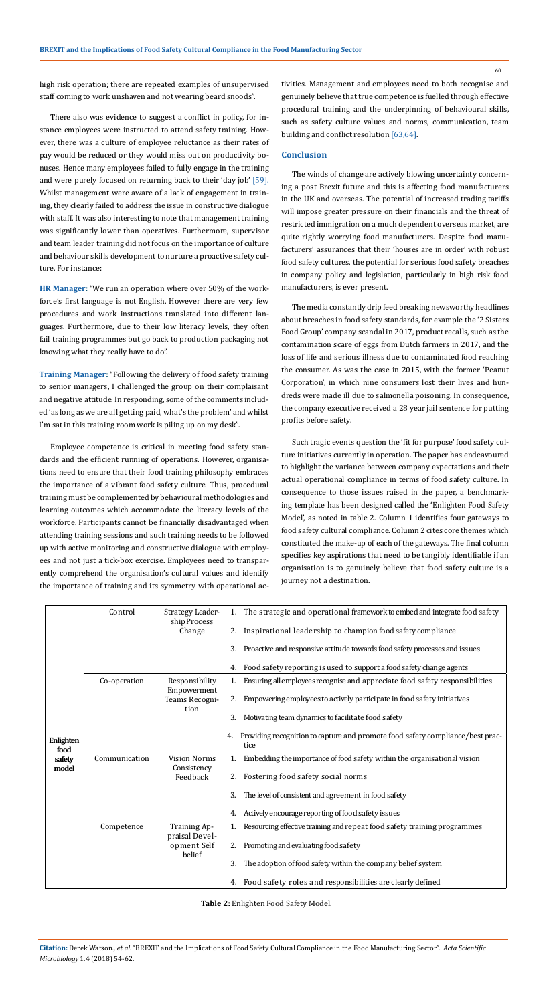60

high risk operation; there are repeated examples of unsupervised staff coming to work unshaven and not wearing beard snoods".

There also was evidence to suggest a conflict in policy, for instance employees were instructed to attend safety training. However, there was a culture of employee reluctance as their rates of pay would be reduced or they would miss out on productivity bonuses. Hence many employees failed to fully engage in the training and were purely focused on returning back to their 'day job' [59]. Whilst management were aware of a lack of engagement in training, they clearly failed to address the issue in constructive dialogue with staff. It was also interesting to note that management training was significantly lower than operatives. Furthermore, supervisor and team leader training did not focus on the importance of culture and behaviour skills development to nurture a proactive safety culture. For instance:

**HR Manager:** "We run an operation where over 50% of the workforce's first language is not English. However there are very few procedures and work instructions translated into different languages. Furthermore, due to their low literacy levels, they often fail training programmes but go back to production packaging not knowing what they really have to do".

**Training Manager:** "Following the delivery of food safety training to senior managers, I challenged the group on their complaisant and negative attitude. In responding, some of the comments included 'as long as we are all getting paid, what's the problem' and whilst I'm sat in this training room work is piling up on my desk".

Employee competence is critical in meeting food safety standards and the efficient running of operations. However, organisations need to ensure that their food training philosophy embraces the importance of a vibrant food safety culture. Thus, procedural training must be complemented by behavioural methodologies and learning outcomes which accommodate the literacy levels of the workforce. Participants cannot be financially disadvantaged when attending training sessions and such training needs to be followed up with active monitoring and constructive dialogue with employees and not just a tick-box exercise. Employees need to transparently comprehend the organisation's cultural values and identify the importance of training and its symmetry with operational activities. Management and employees need to both recognise and genuinely believe that true competence is fuelled through effective procedural training and the underpinning of behavioural skills, such as safety culture values and norms, communication, team building and conflict resolution [63,64].

#### **Conclusion**

The winds of change are actively blowing uncertainty concerning a post Brexit future and this is affecting food manufacturers in the UK and overseas. The potential of increased trading tariffs will impose greater pressure on their financials and the threat of restricted immigration on a much dependent overseas market, are quite rightly worrying food manufacturers. Despite food manufacturers' assurances that their 'houses are in order' with robust food safety cultures, the potential for serious food safety breaches in company policy and legislation, particularly in high risk food manufacturers, is ever present.

The media constantly drip feed breaking newsworthy headlines about breaches in food safety standards, for example the '2 Sisters Food Group' company scandal in 2017, product recalls, such as the contamination scare of eggs from Dutch farmers in 2017, and the loss of life and serious illness due to contaminated food reaching the consumer. As was the case in 2015, with the former 'Peanut Corporation', in which nine consumers lost their lives and hundreds were made ill due to salmonella poisoning. In consequence, the company executive received a 28 year jail sentence for putting profits before safety.

Such tragic events question the 'fit for purpose' food safety culture initiatives currently in operation. The paper has endeavoured to highlight the variance between company expectations and their actual operational compliance in terms of food safety culture. In consequence to those issues raised in the paper, a benchmarking template has been designed called the 'Enlighten Food Safety Model', as noted in table 2. Column 1 identifies four gateways to food safety cultural compliance. Column 2 cites core themes which constituted the make-up of each of the gateways. The final column specifies key aspirations that need to be tangibly identifiable if an organisation is to genuinely believe that food safety culture is a journey not a destination.

| Enlighten<br>food<br>safety<br>model | Control       | Strategy Leader-<br>ship Process   | 1. The strategic and operational framework to embed and integrate food safety                |
|--------------------------------------|---------------|------------------------------------|----------------------------------------------------------------------------------------------|
|                                      |               | Change                             | Inspirational leadership to champion food safety compliance<br>2.                            |
|                                      |               |                                    | Proactive and responsive attitude towards food safety processes and issues<br>3.             |
|                                      |               |                                    | Food safety reporting is used to support a food safety change agents<br>4.                   |
|                                      | Co-operation  | Responsibility<br>Empowerment      | Ensuring all employees recognise and appreciate food safety responsibilities<br>1.           |
|                                      |               | Teams Recogni-                     | 2.<br>Empowering employees to actively participate in food safety initiatives                |
|                                      |               | tion                               | Motivating team dynamics to facilitate food safety<br>3.                                     |
|                                      |               |                                    | Providing recognition to capture and promote food safety compliance/best prac-<br>4.<br>tice |
|                                      | Communication | <b>Vision Norms</b><br>Consistency | Embedding the importance of food safety within the organisational vision                     |
|                                      |               | Feedback                           | Fostering food safety social norms<br>2.                                                     |
|                                      |               |                                    | The level of consistent and agreement in food safety<br>3.                                   |
|                                      |               |                                    | Actively encourage reporting of food safety issues<br>4.                                     |
|                                      | Competence    | Training Ap-<br>praisal Devel-     | Resourcing effective training and repeat food safety training programmes                     |
|                                      |               | opment Self<br>belief              | Promoting and evaluating food safety                                                         |
|                                      |               |                                    | The adoption of food safety within the company belief system<br>3.                           |
|                                      |               |                                    | 4. Food safety roles and responsibilities are clearly defined                                |

**Table 2:** Enlighten Food Safety Model.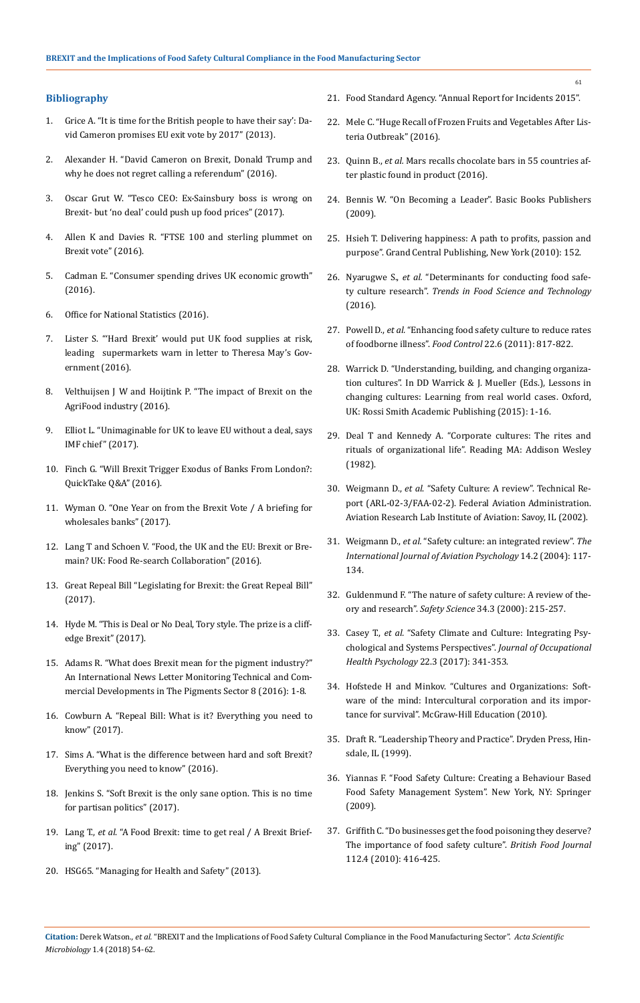### **Bibliography**

- 1. [Grice A. "It is time for the British people to have their say': Da](http://www.independent.co.uk/news/uk/politics/it-is-time-for-the-british-people-to-have-their-say-david-cameron-promises-eu-exit-vote-by-2017-8462253.html)[vid Cameron promises EU exit vote by 2017" \(2013\).](http://www.independent.co.uk/news/uk/politics/it-is-time-for-the-british-people-to-have-their-say-david-cameron-promises-eu-exit-vote-by-2017-8462253.html)
- 2. [Alexander H. "David Cameron on Brexit, Donald Trump and](https://www.telegraph.co.uk/news/2016/12/09/david-cameron-brexit-donald-trump-does-not-regret-calling-referendum/)  [why he does not regret calling a referendum" \(2016\).](https://www.telegraph.co.uk/news/2016/12/09/david-cameron-brexit-donald-trump-does-not-regret-calling-referendum/)
- 3. [Oscar Grut W. "Tesco CEO: Ex-Sainsbury boss is wrong on](https://uk.finance.yahoo.com/news/tesco-ceo-ex-sainsbury-boss-053000770.html)  [Brexit- but 'no deal' could push up food prices" \(2017\).](https://uk.finance.yahoo.com/news/tesco-ceo-ex-sainsbury-boss-053000770.html)
- 4. [Allen K and Davies R. "FTSE 100 and sterling plummet on](https://www.theguardian.com/business/2016/jun/24/ftse-100-and-sterling-plunge-on-brexit-panic)  [Brexit vote" \(2016\).](https://www.theguardian.com/business/2016/jun/24/ftse-100-and-sterling-plunge-on-brexit-panic)
- 5. [Cadman E. "Consumer spending drives UK economic growth"](https://www.ft.com/content/e194e464-6b65-11e6-ae5b-a7cc5dd5a28c)  [\(2016\).](https://www.ft.com/content/e194e464-6b65-11e6-ae5b-a7cc5dd5a28c)
- 6. [Office for National Statistics \(2016\).](https://www.ons.gov.uk/)
- 7. [Lister S. "'Hard Brexit' would put UK food supplies at risk,](http://www.bing.com/search?FORM=INCOH2&PC=IC04&PTAG=ICO-70990d0e&q=Determinants+for+conducting+food+safety+culture+research)  [leading supermarkets warn in letter to Theresa May's Gov](http://www.bing.com/search?FORM=INCOH2&PC=IC04&PTAG=ICO-70990d0e&q=Determinants+for+conducting+food+safety+culture+research)[ernment \(2016\).](http://www.bing.com/search?FORM=INCOH2&PC=IC04&PTAG=ICO-70990d0e&q=Determinants+for+conducting+food+safety+culture+research)
- 8. Velthuijsen J W and Hoijtink P. "The impact of Brexit on the [AgriFood industry \(2016\).](https://www.pwc.nl/nl/brexit/documents/pwc-brexit-monitor-the-impact-on-agrifood.pdf)
- 9. [Elliot L. "Unimaginable for UK to leave EU without a deal, says](https://www.theguardian.com/world/2017/oct/12/christine-lagarde-imf-britain-eu-no-deal-brexit-talks)  [IMF chief" \(2017\).](https://www.theguardian.com/world/2017/oct/12/christine-lagarde-imf-britain-eu-no-deal-brexit-talks)
- 10. [Finch G. "Will Brexit Trigger Exodus of Banks From London?:](https://www.bloomberg.com/news/articles/2016-10-18/will-brexit-trigger-exodus-of-banks-from-london-quicktake-q-a)  [QuickTake Q&A" \(2016\).](https://www.bloomberg.com/news/articles/2016-10-18/will-brexit-trigger-exodus-of-banks-from-london-quicktake-q-a)
- 11. [Wyman O. "One Year on from the Brexit Vote / A briefing for](http://www.oliverwyman.com/content/dam/oliver-wyman/v2/publications/2017/aug/OW-Wholesale-Banking-Brexit-Briefing.pdf)  [wholesales banks" \(2017\).](http://www.oliverwyman.com/content/dam/oliver-wyman/v2/publications/2017/aug/OW-Wholesale-Banking-Brexit-Briefing.pdf)
- 12. [Lang T and Schoen V. "Food, the UK and the EU: Brexit or Bre](http://foodresearch.org.uk/wp-content/uploads/2016/03/Food-and-Brexit-briefing-paper-2.pdf)[main? UK: Food Re-search Collaboration" \(2016\).](http://foodresearch.org.uk/wp-content/uploads/2016/03/Food-and-Brexit-briefing-paper-2.pdf)
- 13. Great Repeal Bill "Legislating for Brexit: the Great Repeal Bill" (2017).
- 14. [Hyde M. "This is Deal or No Deal, Tory style. The prize is a cliff](https://www.theguardian.com/commentisfree/2017/oct/13/tory-party-cliff-edge-brexit)[edge Brexit" \(2017\).](https://www.theguardian.com/commentisfree/2017/oct/13/tory-party-cliff-edge-brexit)
- 15. Adams R. "What does Brexit mean for the pigment industry?" An International News Letter Monitoring Technical and Commercial Developments in The Pigments Sector 8 (2016): 1-8.
- 16. [Cowburn A. "Repeal Bill: What is it? Everything you need to](http://www.independent.co.uk/news/uk/politics/great-repeal-bill-latest-news-brexit-white-paper-theresa-may-what-is-it-controversy-government-a7837731.html)  [know" \(2017\).](http://www.independent.co.uk/news/uk/politics/great-repeal-bill-latest-news-brexit-white-paper-theresa-may-what-is-it-controversy-government-a7837731.html)
- 17. [Sims A. "What is the difference between hard and soft Brexit?](http://www.independent.co.uk/news/uk/politics/brexit-hard-soft-what-is-the-difference-uk-eu-single-market-freedom-movement-theresa-may-a7342591.html)  [Everything you need to know" \(2016\).](http://www.independent.co.uk/news/uk/politics/brexit-hard-soft-what-is-the-difference-uk-eu-single-market-freedom-movement-theresa-may-a7342591.html)
- 18. [Jenkins S. "Soft Brexit is the only sane option. This is no time](https://www.theguardian.com/commentisfree/2017/jun/30/soft-brexit-sane-option-partisan-politics)  [for partisan politics" \(2017\).](https://www.theguardian.com/commentisfree/2017/jun/30/soft-brexit-sane-option-partisan-politics)
- 19. Lang T., *et al*[. "A Food Brexit: time to get real / A Brexit Brief](https://www.sussex.ac.uk/webteam/gateway/file.php?name=foodbrexitreport-langmillstonemarsden-july2017pdf.pdf&site=25)[ing" \(2017\).](https://www.sussex.ac.uk/webteam/gateway/file.php?name=foodbrexitreport-langmillstonemarsden-july2017pdf.pdf&site=25)
- 20. [HSG65. "Managing for Health and Safety" \(2013\).](http://www.hse.gov.uk/pubns/priced/hsg65.pdf)
- 21. [Food Standard Agency. "Annual Report for Incidents 2015".](https://www.food.gov.uk/news-updates/news/2016/15190/fsa-annual-report-of-incidents-2015-published)
- 22. [Mele C. "Huge Recall of Frozen Fruits and Vegetables After Lis](https://www.nytimes.com/2016/05/23/us/listeria-outbreak-frozen-fruits-and-vegetables-recall.html)[teria Outbreak" \(2016\).](https://www.nytimes.com/2016/05/23/us/listeria-outbreak-frozen-fruits-and-vegetables-recall.html)
- 23. Quinn B., *et al.* [Mars recalls chocolate bars in 55 countries af](https://www.theguardian.com/lifeandstyle/2016/feb/23/mars-chocolate-product-recalls-snickers-milky-way-celebrations-germany-netherlands)[ter plastic found in product \(2016\).](https://www.theguardian.com/lifeandstyle/2016/feb/23/mars-chocolate-product-recalls-snickers-milky-way-celebrations-germany-netherlands)
- 24. [Bennis W. "On Becoming a Leader". Basic Books Publishers](http://www.worldcat.org/title/on-becoming-a-leader/oclc/246894143)  [\(2009\).](http://www.worldcat.org/title/on-becoming-a-leader/oclc/246894143)
- 25. [Hsieh T. Delivering happiness: A path to profits, passion and](https://www.goodreads.com/book/show/6828896-delivering-happiness)  [purpose". Grand Central Publishing, New York \(2010\): 152.](https://www.goodreads.com/book/show/6828896-delivering-happiness)
- 26. Nyarugwe S., *et al.* ["Determinants for conducting food safe](https://www.researchgate.net/publication/305821168_Determinants_for_conducting_food_safety_culture_research)ty culture research". *[Trends in Food Science and Technology](https://www.researchgate.net/publication/305821168_Determinants_for_conducting_food_safety_culture_research)* [\(2016\).](https://www.researchgate.net/publication/305821168_Determinants_for_conducting_food_safety_culture_research)
- 27. Powell D., *et al.* ["Enhancing food safety culture to reduce rates](https://www.sciencedirect.com/science/article/pii/S0956713510004378)  of foodborne illness". *Food Control* [22.6 \(2011\): 817-822.](https://www.sciencedirect.com/science/article/pii/S0956713510004378)
- 28. Warrick D. "Understanding, building, and changing organization cultures". In DD Warrick & J. Mueller (Eds.), Lessons in changing cultures: Learning from real world cases. Oxford, UK: Rossi Smith Academic Publishing (2015): 1-16.
- 29. [Deal T and Kennedy A. "Corporate cultures: The rites and](https://www.goodreads.com/book/show/859542.Corporate_Cultures)  [rituals of organizational life". Reading MA: Addison Wesley](https://www.goodreads.com/book/show/859542.Corporate_Cultures)  [\(1982\).](https://www.goodreads.com/book/show/859542.Corporate_Cultures)
- 30. Weigmann D., *et al*. "Safety Culture: A review". Technical Report (ARL-02-3/FAA-02-2). Federal Aviation Administration. Aviation Research Lab Institute of Aviation: Savoy, IL (2002).
- 31. Weigmann D., *et al.* ["Safety culture: an integrated review".](https://www.tandfonline.com/doi/abs/10.1207/s15327108ijap1402_1) *The [International Journal of Aviation Psychology](https://www.tandfonline.com/doi/abs/10.1207/s15327108ijap1402_1)* 14.2 (2004): 117- [134.](https://www.tandfonline.com/doi/abs/10.1207/s15327108ijap1402_1)
- 32. [Guldenmund F. "The nature of safety culture: A review of the](https://www.deepdyve.com/lp/elsevier/the-nature-of-safety-culture-a-review-of-theory-and-research-bhbJFuvtD9)ory and research". *Safety Science* [34.3 \(2000\): 215-257.](https://www.deepdyve.com/lp/elsevier/the-nature-of-safety-culture-a-review-of-theory-and-research-bhbJFuvtD9)
- 33. Casey T., *et al.* ["Safety Climate and Culture: Integrating Psy](https://www.apaexcellence.org/resources/research/detail/7945)[chological and Systems Perspectives".](https://www.apaexcellence.org/resources/research/detail/7945) *Journal of Occupational Health Psychology* [22.3 \(2017\): 341-353.](https://www.apaexcellence.org/resources/research/detail/7945)
- 34. [Hofstede H and Minkov. "Cultures and Organizations: Soft](http://www.worldcat.org/title/cultures-and-organizations-software-of-the-mind-intercultural-cooperation-and-its-importance-for-survival/oclc/558675706)[ware of the mind: Intercultural corporation and its impor](http://www.worldcat.org/title/cultures-and-organizations-software-of-the-mind-intercultural-cooperation-and-its-importance-for-survival/oclc/558675706)[tance for survival". McGraw-Hill Education \(2010\).](http://www.worldcat.org/title/cultures-and-organizations-software-of-the-mind-intercultural-cooperation-and-its-importance-for-survival/oclc/558675706)
- 35. Draft R. "Leadership Theory and Practice". Dryden Press, Hinsdale, IL (1999).
- 36. [Yiannas F. "Food Safety Culture: Creating a Behaviour Based](http://www.springer.com/us/book/9780387728667)  [Food Safety Management System". New York, NY: Springer](http://www.springer.com/us/book/9780387728667)  [\(2009\).](http://www.springer.com/us/book/9780387728667)
- 37. [Griffith C. "Do businesses get the food poisoning they deserve?](https://www.emeraldinsight.com/doi/abs/10.1108/00070701011034420)  [The importance of food safety culture".](https://www.emeraldinsight.com/doi/abs/10.1108/00070701011034420) *British Food Journal* [112.4 \(2010\): 416-425.](https://www.emeraldinsight.com/doi/abs/10.1108/00070701011034420)

61